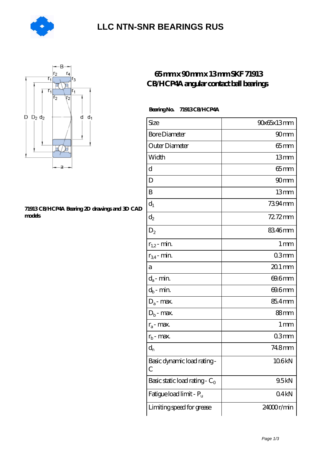

### **[LLC NTN-SNR BEARINGS RUS](https://agencel2om.com)**



#### **[71913 CB/HCP4A Bearing 2D drawings and 3D CAD](https://agencel2om.com/pic-566792.html) [models](https://agencel2om.com/pic-566792.html)**

### **[65 mm x 90 mm x 13 mm SKF 71913](https://agencel2om.com/skf-71913-cb-hcp4a-bearing/) [CB/HCP4A angular contact ball bearings](https://agencel2om.com/skf-71913-cb-hcp4a-bearing/)**

#### **Bearing No. 71913 CB/HCP4A**

| Size                             | 90x65x13mm        |
|----------------------------------|-------------------|
| <b>Bore Diameter</b>             | 90mm              |
| Outer Diameter                   | 65 mm             |
| Width                            | 13mm              |
| d                                | 65mm              |
| D                                | 90mm              |
| B                                | 13mm              |
| $d_1$                            | 7394mm            |
| $\mathrm{d}_2$                   | 72.72mm           |
| $D_2$                            | 8346mm            |
| $r_{1,2}$ - min.                 | 1 <sub>mm</sub>   |
| $r_{34}$ - min.                  | 03mm              |
| а                                | $201$ mm          |
| $d_a$ - min.                     | 69.6mm            |
| $d_b$ - min.                     | 69.6mm            |
| $\rm D_a\mbox{-}$ max.           | 85.4mm            |
| $D_b$ - max.                     | 88 <sub>mm</sub>  |
| $r_a$ - max.                     | $1 \,\mathrm{mm}$ |
| $r_{b}$ - max.                   | 03mm              |
| $d_{n}$                          | 748mm             |
| Basic dynamic load rating-<br>С  | 106kN             |
| Basic static load rating - $C_0$ | 9.5kN             |
| Fatigue load limit - Pu          | 04kN              |
| Limiting speed for grease        | 24000r/min        |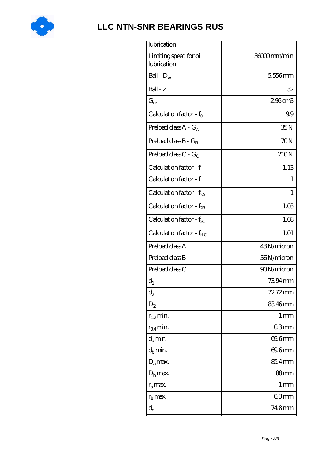

## **[LLC NTN-SNR BEARINGS RUS](https://agencel2om.com)**

| lubrication                           |                 |
|---------------------------------------|-----------------|
| Limiting speed for oil<br>lubrication | 36000mm/min     |
| Ball - $D_w$                          | 5556mm          |
| $Ball - z$                            | 32              |
| $G_{ref}$                             | 296cm3          |
| Calculation factor - $f_0$            | 99              |
| Preload class $A - G_A$               | 35N             |
| Preload class $B - G_R$               | 70N             |
| Preload class $C - G_C$               | 210N            |
| Calculation factor - f                | 1.13            |
| Calculation factor - f                | 1               |
| Calculation factor - $f_{2A}$         | 1               |
| Calculation factor - $f_{2B}$         | 1.03            |
| Calculation factor - $f_{\chi}$       | 1.08            |
| Calculation factor - f <sub>HC</sub>  | 1.01            |
| Preload class A                       | 43N/micron      |
| Preload class B                       | 56N/micron      |
| Preload class C                       | 90N/micron      |
| $\mathbf{d}_1$                        | 7394 mm         |
| $\mathrm{d}_2$                        | $7272$ mm       |
| $D_2$                                 | 8346mm          |
| $r_{1,2}$ min.                        | 1 <sub>mm</sub> |
| $r_{34}$ min.                         | 03mm            |
| $d_a$ min.                            | 69.6mm          |
| $d_h$ min.                            | 69.6mm          |
| $D_a$ max.                            | 85.4mm          |
| $D_{\rm b}$ max.                      | 88mm            |
| $r_a$ max.                            | 1 <sub>mm</sub> |
| $r_{\rm b}$ max.                      | 03mm            |
| $\mathrm{d}_{\mathrm{n}}$             | 748mm           |